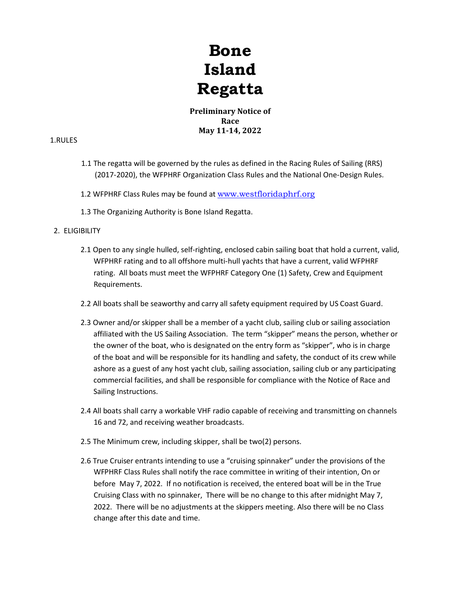# **Bone Island Regatta**

**Preliminary Notice of Race May 11-14, 2022**

# 1.RULES

- 1.1 The regatta will be governed by the rules as defined in the Racing Rules of Sailing (RRS) (2017-2020), the WFPHRF Organization Class Rules and the National One-Design Rules.
- 1.2 WFPHRF Class Rules may be found at [www.westfloridaphrf.org](http://www.westfloridaphrf.org/)
- 1.3 The Organizing Authority is Bone Island Regatta.

## 2. ELIGIBILITY

- 2.1 Open to any single hulled, self-righting, enclosed cabin sailing boat that hold a current, valid, WFPHRF rating and to all offshore multi-hull yachts that have a current, valid WFPHRF rating. All boats must meet the WFPHRF Category One (1) Safety, Crew and Equipment Requirements.
- 2.2 All boats shall be seaworthy and carry all safety equipment required by US Coast Guard.
- 2.3 Owner and/or skipper shall be a member of a yacht club, sailing club or sailing association affiliated with the US Sailing Association. The term "skipper" means the person, whether or the owner of the boat, who is designated on the entry form as "skipper", who is in charge of the boat and will be responsible for its handling and safety, the conduct of its crew while ashore as a guest of any host yacht club, sailing association, sailing club or any participating commercial facilities, and shall be responsible for compliance with the Notice of Race and Sailing Instructions.
- 2.4 All boats shall carry a workable VHF radio capable of receiving and transmitting on channels 16 and 72, and receiving weather broadcasts.
- 2.5 The Minimum crew, including skipper, shall be two(2) persons.
- 2.6 True Cruiser entrants intending to use a "cruising spinnaker" under the provisions of the WFPHRF Class Rules shall notify the race committee in writing of their intention, On or before May 7, 2022. If no notification is received, the entered boat will be in the True Cruising Class with no spinnaker, There will be no change to this after midnight May 7, 2022. There will be no adjustments at the skippers meeting. Also there will be no Class change after this date and time.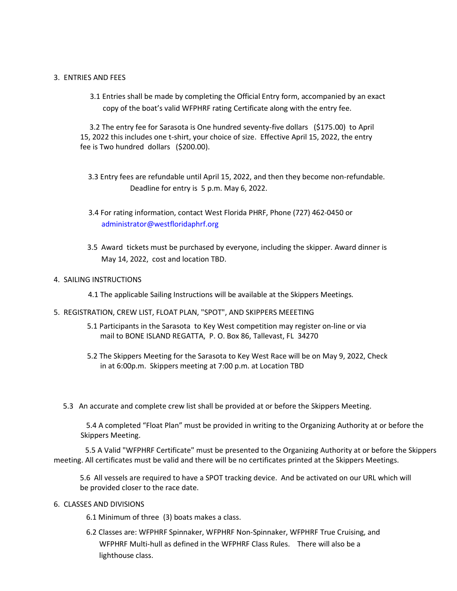## 3. ENTRIES AND FEES

3.1 Entries shall be made by completing the Official Entry form, accompanied by an exact copy of the boat's valid WFPHRF rating Certificate along with the entry fee.

3.2 The entry fee for Sarasota is One hundred seventy-five dollars (\$175.00) to April 15, 2022 this includes one t-shirt, your choice of size. Effective April 15, 2022, the entry fee is Two hundred dollars (\$200.00).

- 3.3 Entry fees are refundable until April 15, 2022, and then they become non-refundable. Deadline for entry is 5 p.m. May 6, 2022.
- 3.4 For rating information, contact West Florida PHRF, Phone (727) 462-0450 or [administrator@westfloridaphrf.org](mailto:administrator@westfloridaphrf.org)
- 3.5 Award tickets must be purchased by everyone, including the skipper. Award dinner is May 14, 2022, cost and location TBD.

### 4. SAILING INSTRUCTIONS

4.1 The applicable Sailing Instructions will be available at the Skippers Meetings.

- 5. REGISTRATION, CREW LIST, FLOAT PLAN, "SPOT", AND SKIPPERS MEEETING
	- 5.1 Participants in the Sarasota to Key West competition may register on-line or via mail to BONE ISLAND REGATTA, P. O. Box 86, Tallevast, FL 34270
	- 5.2 The Skippers Meeting for the Sarasota to Key West Race will be on May 9, 2022, Check in at 6:00p.m. Skippers meeting at 7:00 p.m. at Location TBD
	- 5.3 An accurate and complete crew list shall be provided at or before the Skippers Meeting.

5.4 A completed "Float Plan" must be provided in writing to the Organizing Authority at or before the Skippers Meeting.

5.5 A Valid "WFPHRF Certificate" must be presented to the Organizing Authority at or before the Skippers meeting. All certificates must be valid and there will be no certificates printed at the Skippers Meetings.

5.6 All vessels are required to have a SPOT tracking device. And be activated on our URL which will be provided closer to the race date.

### 6. CLASSES AND DIVISIONS

6.1 Minimum of three (3) boats makes a class.

6.2 Classes are: WFPHRF Spinnaker, WFPHRF Non-Spinnaker, WFPHRF True Cruising, and WFPHRF Multi-hull as defined in the WFPHRF Class Rules. There will also be a lighthouse class.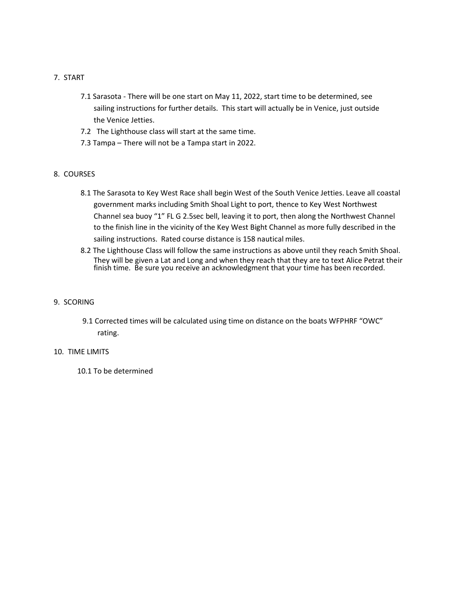- 7. START
	- 7.1 Sarasota There will be one start on May 11, 2022, start time to be determined, see sailing instructions for further details. This start will actually be in Venice, just outside the Venice Jetties.
	- 7.2 The Lighthouse class will start at the same time.
	- 7.3 Tampa There will not be a Tampa start in 2022.

## 8. COURSES

- 8.1 The Sarasota to Key West Race shall begin West of the South Venice Jetties. Leave all coastal government marks including Smith Shoal Light to port, thence to Key West Northwest Channel sea buoy "1" FL G 2.5sec bell, leaving it to port, then along the Northwest Channel to the finish line in the vicinity of the Key West Bight Channel as more fully described in the sailing instructions. Rated course distance is 158 nautical miles.
- 8.2 The Lighthouse Class will follow the same instructions as above until they reach Smith Shoal. They will be given a Lat and Long and when they reach that they are to text Alice Petrat their finish time. Be sure you receive an acknowledgment that your time has been recorded.

## 9. SCORING

9.1 Corrected times will be calculated using time on distance on the boats WFPHRF "OWC" rating.

### 10. TIME LIMITS

10.1 To be determined